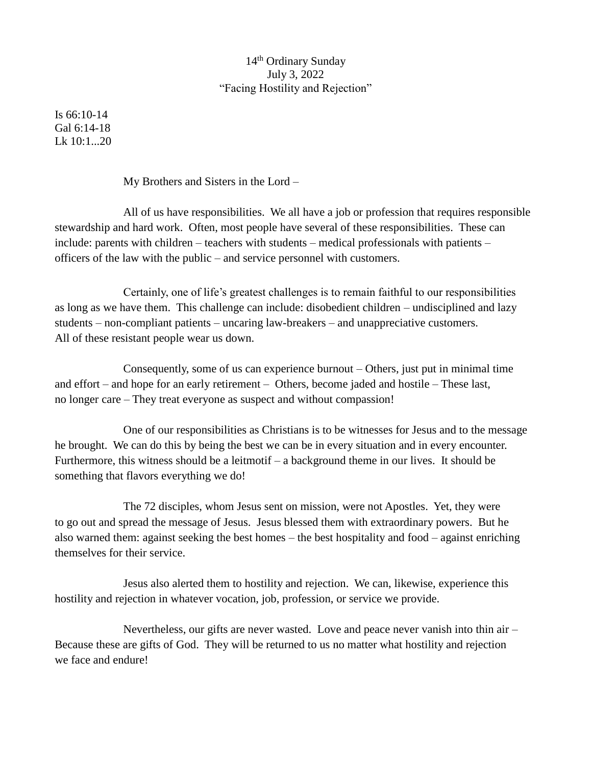## 14<sup>th</sup> Ordinary Sunday July 3, 2022 "Facing Hostility and Rejection"

Is 66:10-14 Gal 6:14-18  $Lk$  10:1...20

My Brothers and Sisters in the Lord –

All of us have responsibilities. We all have a job or profession that requires responsible stewardship and hard work. Often, most people have several of these responsibilities. These can include: parents with children – teachers with students – medical professionals with patients – officers of the law with the public – and service personnel with customers.

Certainly, one of life's greatest challenges is to remain faithful to our responsibilities as long as we have them. This challenge can include: disobedient children – undisciplined and lazy students – non-compliant patients – uncaring law-breakers – and unappreciative customers. All of these resistant people wear us down.

Consequently, some of us can experience burnout – Others, just put in minimal time and effort – and hope for an early retirement – Others, become jaded and hostile – These last, no longer care – They treat everyone as suspect and without compassion!

One of our responsibilities as Christians is to be witnesses for Jesus and to the message he brought. We can do this by being the best we can be in every situation and in every encounter. Furthermore, this witness should be a leitmotif – a background theme in our lives. It should be something that flavors everything we do!

The 72 disciples, whom Jesus sent on mission, were not Apostles. Yet, they were to go out and spread the message of Jesus. Jesus blessed them with extraordinary powers. But he also warned them: against seeking the best homes – the best hospitality and food – against enriching themselves for their service.

Jesus also alerted them to hostility and rejection. We can, likewise, experience this hostility and rejection in whatever vocation, job, profession, or service we provide.

Nevertheless, our gifts are never wasted. Love and peace never vanish into thin air – Because these are gifts of God. They will be returned to us no matter what hostility and rejection we face and endure!